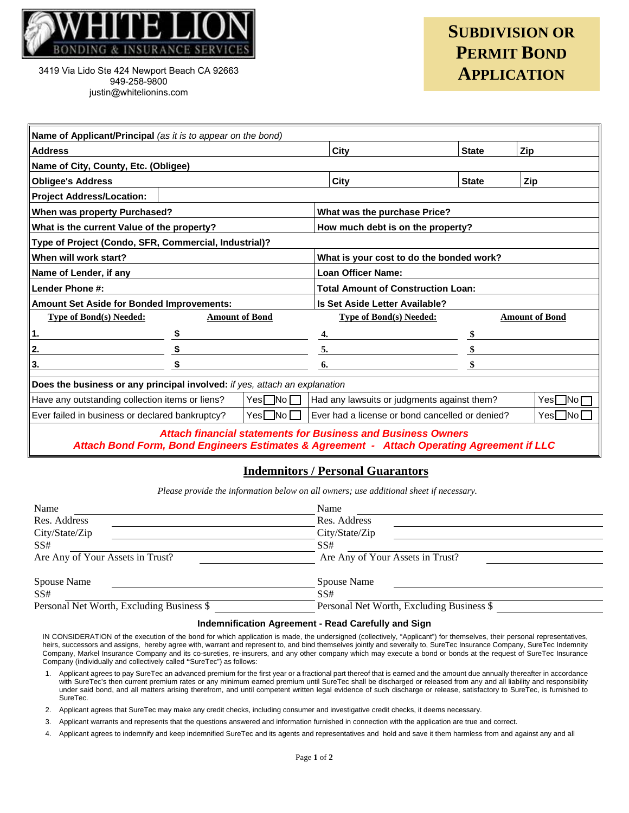

3419 Via Lido Ste 424 Newport Beach CA 92663 949-258-9800 justin@whitelionins.com

## **SUBDIVISION OR PERMIT BOND APPLICATION**

| Name of Applicant/Principal (as it is to appear on the bond)                                      |                       |                    |                                                        |                       |         |  |  |  |
|---------------------------------------------------------------------------------------------------|-----------------------|--------------------|--------------------------------------------------------|-----------------------|---------|--|--|--|
| <b>Address</b>                                                                                    |                       | City               | <b>State</b>                                           | Zip                   |         |  |  |  |
| Name of City, County, Etc. (Obligee)                                                              |                       |                    |                                                        |                       |         |  |  |  |
| <b>Obligee's Address</b>                                                                          |                       |                    | City                                                   | <b>State</b>          | Zip     |  |  |  |
| <b>Project Address/Location:</b>                                                                  |                       |                    |                                                        |                       |         |  |  |  |
| When was property Purchased?                                                                      |                       |                    | What was the purchase Price?                           |                       |         |  |  |  |
| What is the current Value of the property?                                                        |                       |                    | How much debt is on the property?                      |                       |         |  |  |  |
| Type of Project (Condo, SFR, Commercial, Industrial)?                                             |                       |                    |                                                        |                       |         |  |  |  |
| When will work start?                                                                             |                       |                    | What is your cost to do the bonded work?               |                       |         |  |  |  |
| Name of Lender, if any                                                                            |                       |                    | <b>Loan Officer Name:</b>                              |                       |         |  |  |  |
| Lender Phone #:                                                                                   |                       |                    | <b>Total Amount of Construction Loan:</b>              |                       |         |  |  |  |
| Amount Set Aside for Bonded Improvements:                                                         |                       |                    | Is Set Aside Letter Available?                         |                       |         |  |  |  |
| <b>Type of Bond(s) Needed:</b>                                                                    | <b>Amount of Bond</b> |                    | <b>Type of Bond(s) Needed:</b>                         | <b>Amount of Bond</b> |         |  |  |  |
| ┇.                                                                                                |                       |                    | 4.                                                     |                       |         |  |  |  |
| 2.                                                                                                |                       |                    | 5.                                                     |                       |         |  |  |  |
| 3.                                                                                                |                       |                    | 6.                                                     |                       |         |  |  |  |
| Does the business or any principal involved: if yes, attach an explanation                        |                       |                    |                                                        |                       |         |  |  |  |
| Have any outstanding collection items or liens?                                                   |                       | $Yes \Box No \Box$ | Had any lawsuits or judgments against them?<br>Yes□No冖 |                       |         |  |  |  |
| Ever failed in business or declared bankruptcy?                                                   |                       | $Yes \Box No \Box$ | Ever had a license or bond cancelled or denied?        |                       | Yes Nol |  |  |  |
| <b>Attach financial statements for Business and Business Owners</b><br>Altready Provided Products |                       |                    |                                                        |                       |         |  |  |  |

*Attach Bond Form, Bond Engineers Estimates & Agreement - Attach Operating Agreement if LLC*

## **Indemnitors / Personal Guarantors**

*Please provide the information below on all owners; use additional sheet if necessary.* 

| Name                                      | Name                                      |  |  |
|-------------------------------------------|-------------------------------------------|--|--|
| Res. Address                              | Res. Address                              |  |  |
| City/State/Zip                            | City/State/Zip                            |  |  |
| SS#                                       | SS#                                       |  |  |
| Are Any of Your Assets in Trust?          | Are Any of Your Assets in Trust?          |  |  |
| Spouse Name                               | Spouse Name                               |  |  |
| SS#                                       | SS#                                       |  |  |
| Personal Net Worth, Excluding Business \$ | Personal Net Worth, Excluding Business \$ |  |  |

## **Indemnification Agreement - Read Carefully and Sign**

IN CONSIDERATION of the execution of the bond for which application is made, the undersigned (collectively, "Applicant") for themselves, their personal representatives, heirs, successors and assigns, hereby agree with, warrant and represent to, and bind themselves jointly and severally to, SureTec Insurance Company, SureTec Indemnity Company, Markel Insurance Company and its co-sureties, re-insurers, and any other company which may execute a bond or bonds at the request of SureTec Insurance Company (individually and collectively called **"**SureTec") as follows:

- 1. Applicant agrees to pay SureTec an advanced premium for the first year or a fractional part thereof that is earned and the amount due annually thereafter in accordance with SureTec's then current premium rates or any minimum earned premium until SureTec shall be discharged or released from any and all liability and responsibility under said bond, and all matters arising therefrom, and until competent written legal evidence of such discharge or release, satisfactory to SureTec, is furnished to SureTec.
- 2. Applicant agrees that SureTec may make any credit checks, including consumer and investigative credit checks, it deems necessary.
- 3. Applicant warrants and represents that the questions answered and information furnished in connection with the application are true and correct.
- 4. Applicant agrees to indemnify and keep indemnified SureTec and its agents and representatives and hold and save it them harmless from and against any and all